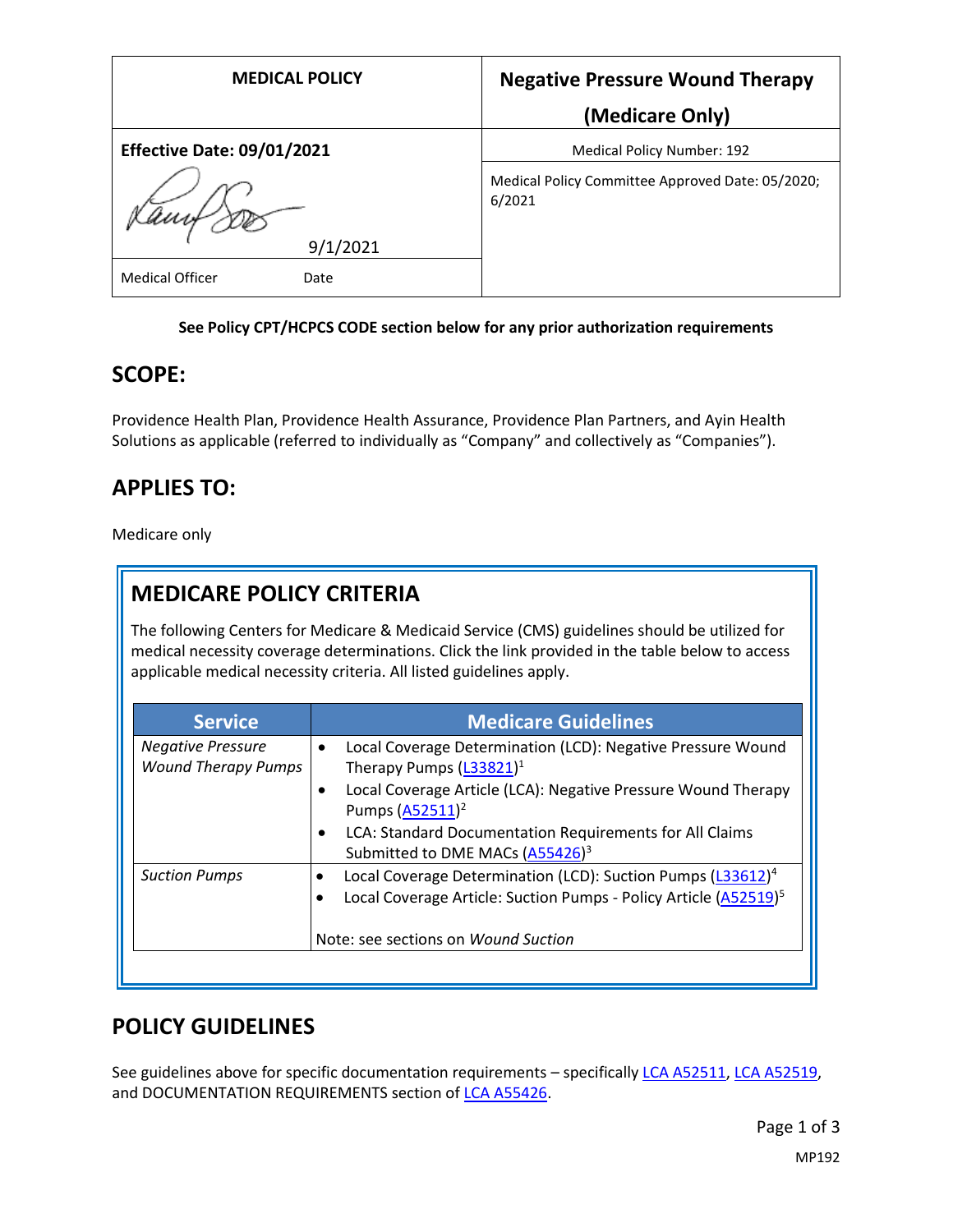| <b>MEDICAL POLICY</b>             | <b>Negative Pressure Wound Therapy</b>                     |
|-----------------------------------|------------------------------------------------------------|
|                                   | (Medicare Only)                                            |
| <b>Effective Date: 09/01/2021</b> | Medical Policy Number: 192                                 |
|                                   | Medical Policy Committee Approved Date: 05/2020;<br>6/2021 |
| 9/1/2021                          |                                                            |
| <b>Medical Officer</b><br>Date    |                                                            |

### **See Policy CPT/HCPCS CODE section below for any prior authorization requirements**

### **SCOPE:**

Providence Health Plan, Providence Health Assurance, Providence Plan Partners, and Ayin Health Solutions as applicable (referred to individually as "Company" and collectively as "Companies").

# **APPLIES TO:**

Medicare only

# **MEDICARE POLICY CRITERIA**

The following Centers for Medicare & Medicaid Service (CMS) guidelines should be utilized for medical necessity coverage determinations. Click the link provided in the table below to access applicable medical necessity criteria. All listed guidelines apply.

| <b>Service</b>             | <b>Medicare Guidelines</b>                                                   |
|----------------------------|------------------------------------------------------------------------------|
| <b>Negative Pressure</b>   | Local Coverage Determination (LCD): Negative Pressure Wound<br>$\bullet$     |
| <b>Wound Therapy Pumps</b> | Therapy Pumps (L33821) <sup>1</sup>                                          |
|                            | Local Coverage Article (LCA): Negative Pressure Wound Therapy<br>٠           |
|                            | Pumps (A52511) <sup>2</sup>                                                  |
|                            | LCA: Standard Documentation Requirements for All Claims<br>$\bullet$         |
|                            | Submitted to DME MACs (A55426) <sup>3</sup>                                  |
| <b>Suction Pumps</b>       | Local Coverage Determination (LCD): Suction Pumps (L33612) <sup>4</sup>      |
|                            | Local Coverage Article: Suction Pumps - Policy Article (A52519) <sup>5</sup> |
|                            |                                                                              |
|                            | Note: see sections on Wound Suction                                          |
|                            |                                                                              |

## **POLICY GUIDELINES**

See guidelines above for specific documentation requirements - specifically [LCA A52511,](https://www.accessdata.fda.gov/scripts/cder/daf/index.cfm?event=BasicSearch.processhttps://www.cms.gov/medicare-coverage-database/details/article-details.aspx?articleId=52511) [LCA A52519,](https://www.cms.gov/medicare-coverage-database/details/article-details.aspx?articleId=52519) and DOCUMENTATION REQUIREMENTS section of [LCA A55426.](https://www.cms.gov/medicare-coverage-database/details/article-details.aspx?articleId=55426)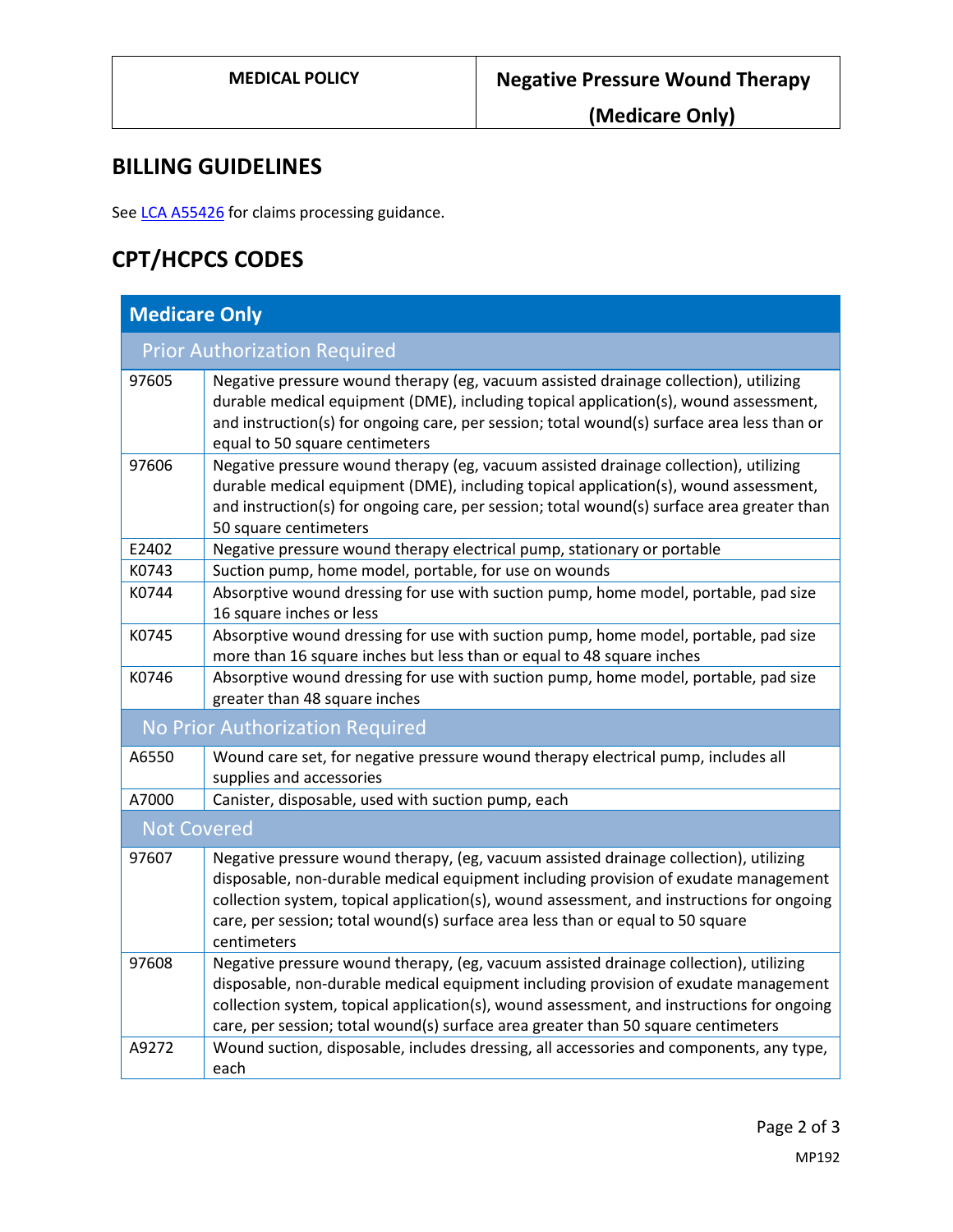**(Medicare Only)**

# **BILLING GUIDELINES**

See [LCA A55426](https://www.cms.gov/medicare-coverage-database/details/article-details.aspx?articleId=55426) for claims processing guidance.

# **CPT/HCPCS CODES**

| <b>Medicare Only</b>                |                                                                                                                                                                                                                                                                                                                                                                            |  |
|-------------------------------------|----------------------------------------------------------------------------------------------------------------------------------------------------------------------------------------------------------------------------------------------------------------------------------------------------------------------------------------------------------------------------|--|
| <b>Prior Authorization Required</b> |                                                                                                                                                                                                                                                                                                                                                                            |  |
| 97605                               | Negative pressure wound therapy (eg, vacuum assisted drainage collection), utilizing<br>durable medical equipment (DME), including topical application(s), wound assessment,<br>and instruction(s) for ongoing care, per session; total wound(s) surface area less than or<br>equal to 50 square centimeters                                                               |  |
| 97606                               | Negative pressure wound therapy (eg, vacuum assisted drainage collection), utilizing<br>durable medical equipment (DME), including topical application(s), wound assessment,<br>and instruction(s) for ongoing care, per session; total wound(s) surface area greater than<br>50 square centimeters                                                                        |  |
| E2402                               | Negative pressure wound therapy electrical pump, stationary or portable                                                                                                                                                                                                                                                                                                    |  |
| K0743                               | Suction pump, home model, portable, for use on wounds                                                                                                                                                                                                                                                                                                                      |  |
| K0744                               | Absorptive wound dressing for use with suction pump, home model, portable, pad size<br>16 square inches or less                                                                                                                                                                                                                                                            |  |
| K0745                               | Absorptive wound dressing for use with suction pump, home model, portable, pad size<br>more than 16 square inches but less than or equal to 48 square inches                                                                                                                                                                                                               |  |
| K0746                               | Absorptive wound dressing for use with suction pump, home model, portable, pad size<br>greater than 48 square inches                                                                                                                                                                                                                                                       |  |
| No Prior Authorization Required     |                                                                                                                                                                                                                                                                                                                                                                            |  |
| A6550                               | Wound care set, for negative pressure wound therapy electrical pump, includes all<br>supplies and accessories                                                                                                                                                                                                                                                              |  |
| A7000                               | Canister, disposable, used with suction pump, each                                                                                                                                                                                                                                                                                                                         |  |
| <b>Not Covered</b>                  |                                                                                                                                                                                                                                                                                                                                                                            |  |
| 97607                               | Negative pressure wound therapy, (eg, vacuum assisted drainage collection), utilizing<br>disposable, non-durable medical equipment including provision of exudate management<br>collection system, topical application(s), wound assessment, and instructions for ongoing<br>care, per session; total wound(s) surface area less than or equal to 50 square<br>centimeters |  |
| 97608                               | Negative pressure wound therapy, (eg, vacuum assisted drainage collection), utilizing<br>disposable, non-durable medical equipment including provision of exudate management<br>collection system, topical application(s), wound assessment, and instructions for ongoing<br>care, per session; total wound(s) surface area greater than 50 square centimeters             |  |
| A9272                               | Wound suction, disposable, includes dressing, all accessories and components, any type,<br>each                                                                                                                                                                                                                                                                            |  |